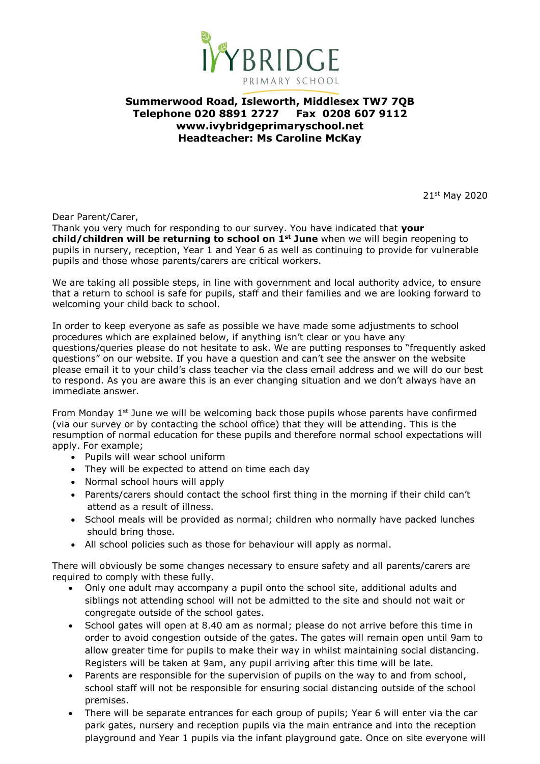

## **Summerwood Road, Isleworth, Middlesex TW7 7QB Telephone 020 8891 2727 Fax 0208 607 9112 www.ivybridgeprimaryschool.net Headteacher: Ms Caroline McKay**

21st May 2020

Dear Parent/Carer,

Thank you very much for responding to our survey. You have indicated that **your child/children will be returning to school on 1st June** when we will begin reopening to pupils in nursery, reception, Year 1 and Year 6 as well as continuing to provide for vulnerable pupils and those whose parents/carers are critical workers.

We are taking all possible steps, in line with government and local authority advice, to ensure that a return to school is safe for pupils, staff and their families and we are looking forward to welcoming your child back to school.

In order to keep everyone as safe as possible we have made some adjustments to school procedures which are explained below, if anything isn't clear or you have any questions/queries please do not hesitate to ask. We are putting responses to "frequently asked questions" on our website. If you have a question and can't see the answer on the website please email it to your child's class teacher via the class email address and we will do our best to respond. As you are aware this is an ever changing situation and we don't always have an immediate answer.

From Monday  $1<sup>st</sup>$  June we will be welcoming back those pupils whose parents have confirmed (via our survey or by contacting the school office) that they will be attending. This is the resumption of normal education for these pupils and therefore normal school expectations will apply. For example;

- Pupils will wear school uniform
- They will be expected to attend on time each day
- Normal school hours will apply
- Parents/carers should contact the school first thing in the morning if their child can't attend as a result of illness.
- School meals will be provided as normal; children who normally have packed lunches should bring those.
- All school policies such as those for behaviour will apply as normal.

There will obviously be some changes necessary to ensure safety and all parents/carers are required to comply with these fully.

- Only one adult may accompany a pupil onto the school site, additional adults and siblings not attending school will not be admitted to the site and should not wait or congregate outside of the school gates.
- School gates will open at 8.40 am as normal; please do not arrive before this time in order to avoid congestion outside of the gates. The gates will remain open until 9am to allow greater time for pupils to make their way in whilst maintaining social distancing. Registers will be taken at 9am, any pupil arriving after this time will be late.
- Parents are responsible for the supervision of pupils on the way to and from school, school staff will not be responsible for ensuring social distancing outside of the school premises.
- There will be separate entrances for each group of pupils; Year 6 will enter via the car park gates, nursery and reception pupils via the main entrance and into the reception playground and Year 1 pupils via the infant playground gate. Once on site everyone will